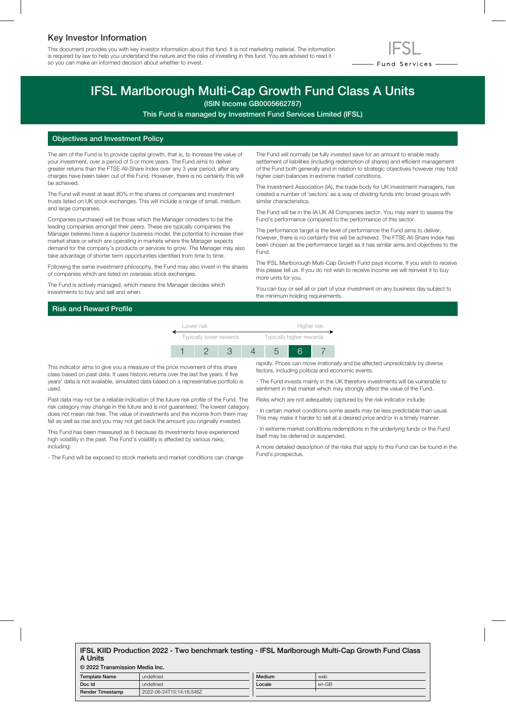## Key Investor Information

This document provides you with key investor information about this fund. It is not marketing material. The information is required by law to help you understand the nature and the risks of investing in this fund. You are advised to read it so you can make an informed decision about whether to invest.



# IFSL Marlborough Multi-Cap Growth Fund Class A Units

(ISIN Income GB0005662787)

This Fund is managed by Investment Fund Services Limited (IFSL)

#### Objectives and Investment Policy

The aim of the Fund is to provide capital growth, that is, to increase the value of your investment, over a period of 5 or more years. The Fund aims to deliver greater returns than the FTSE All-Share Index over any 3 year period, after any charges have been taken out of the Fund. However, there is no certainty this will be achieved.

The Fund will invest at least 80% in the shares of companies and investment trusts listed on UK stock exchanges. This will include a range of small, medium and large companies.

Companies purchased will be those which the Manager considers to be the leading companies amongst their peers. These are typically companies the Manager believes have a superior business model, the potential to increase their market share or which are operating in markets where the Manager expects demand for the company's products or services to grow. The Manager may also take advantage of shorter term opportunities identified from time to time.

Following the same investment philosophy, the Fund may also invest in the shares of companies which are listed on overseas stock exchanges.

The Fund is actively managed, which means the Manager decides which investments to buy and sell and when.

The Fund will normally be fully invested save for an amount to enable ready settlement of liabilities (including redemption of shares) and efficient management of the Fund both generally and in relation to strategic objectives however may hold higher cash balances in extreme market conditions.

The Investment Association (IA), the trade body for UK investment managers, has created a number of 'sectors' as a way of dividing funds into broad groups with similar characteristics.

The Fund will be in the IA UK All Companies sector. You may want to assess the Fund's performance compared to the performance of this sector.

The performance target is the level of performance the Fund aims to deliver, however, there is no certainty this will be achieved. The FTSE All-Share Index has been chosen as the performance target as it has similar aims and objectives to the Fund.

The IFSL Marlborough Multi-Cap Growth Fund pays income. If you wish to receive this please tell us. If you do not wish to receive income we will reinvest it to buy more units for you.

You can buy or sell all or part of your investment on any business day subject to the minimum holding requirements.

### Risk and Reward Profile



This indicator aims to give you a measure of the price movement of this share class based on past data. It uses historic returns over the last five years. If five years' data is not available, simulated data based on a representative portfolio is used.

Past data may not be a reliable indication of the future risk profile of the Fund. The risk category may change in the future and is not guaranteed. The lowest category does not mean risk free. The value of investments and the income from them may fall as well as rise and you may not get back the amount you originally invested.

This Fund has been measured as 6 because its investments have experienced high volatility in the past. The Fund's volatility is affected by various risks, including:

- The Fund will be exposed to stock markets and market conditions can change

rapidly. Prices can move irrationally and be affected unpredictably by diverse factors, including political and economic events.

- The Fund invests mainly in the UK therefore investments will be vulnerable to sentiment in that market which may strongly affect the value of the Fund.

Risks which are not adequately captured by the risk indicator include:

- In certain market conditions some assets may be less predictable than usual. This may make it harder to sell at a desired price and/or in a timely manner.

- In extreme market conditions redemptions in the underlying funds or the Fund itself may be deferred or suspended.

A more detailed description of the risks that apply to this Fund can be found in the Fund's prospectus.